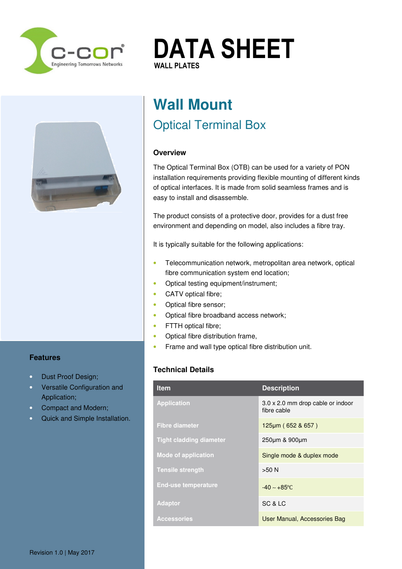





## **Features**

- Dust Proof Design;
- Versatile Configuration and Application;
- Compact and Modern;
- Quick and Simple Installation.

# **Wall Mount**  Optical Terminal Box

## **Overview**

The Optical Terminal Box (OTB) can be used for a variety of PON installation requirements providing flexible mounting of different kinds of optical interfaces. It is made from solid seamless frames and is easy to install and disassemble.

The product consists of a protective door, provides for a dust free environment and depending on model, also includes a fibre tray.

It is typically suitable for the following applications:

- Telecommunication network, metropolitan area network, optical fibre communication system end location;
- Optical testing equipment/instrument;
- CATV optical fibre:
- Optical fibre sensor;
- Optical fibre broadband access network;
- FTTH optical fibre;
- Optical fibre distribution frame,
- Frame and wall type optical fibre distribution unit.

## **Technical Details**

| <b>Item</b>                    | <b>Description</b>                               |
|--------------------------------|--------------------------------------------------|
| <b>Application</b>             | 3.0 x 2.0 mm drop cable or indoor<br>fibre cable |
| <b>Fibre diameter</b>          | 125µm (652 & 657)                                |
| <b>Tight cladding diameter</b> | 250um & 900um                                    |
| <b>Mode of application</b>     | Single mode & duplex mode                        |
| <b>Tensile strength</b>        | $>50$ N                                          |
| <b>End-use temperature</b>     | $-40 \sim +85$ °C                                |
| <b>Adaptor</b>                 | SC & LC                                          |
| <b>Accessories</b>             | User Manual, Accessories Bag                     |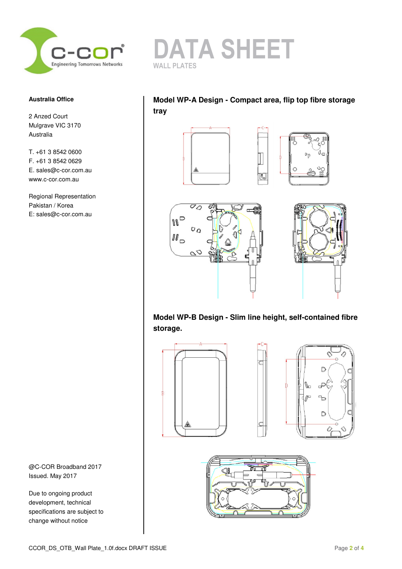

### **Australia Office**

2 Anzed Court Mulgrave VIC 3170 Australia

T. +61 3 8542 0600 F. +61 3 8542 0629 E. sales@c-cor.com.au www.c-cor.com.au

Regional Representation Pakistan / Korea E: sales@c-cor.com.au

@C-COR Broadband 2017 Issued. May 2017

Due to ongoing product development, technical specifications are subject to change without notice



# **Model WP-A Design - Compact area, flip top fibre storage tray**









**Model WP-B Design - Slim line height, self-contained fibre storage.** 



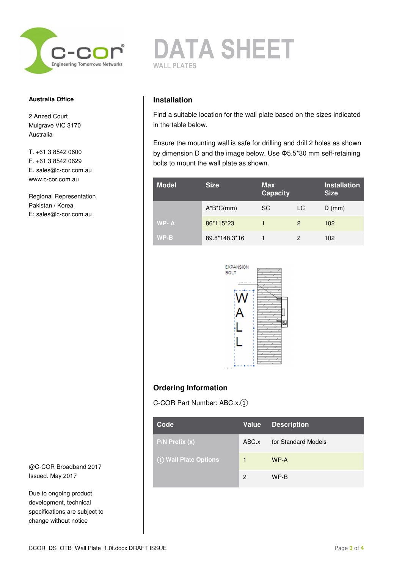

#### **Australia Office**

2 Anzed Court Mulgrave VIC 3170 Australia

T. +61 3 8542 0600 F. +61 3 8542 0629 E. sales@c-cor.com.au www.c-cor.com.au

Regional Representation Pakistan / Korea E: sales@c-cor.com.au

@C-COR Broadband 2017 Issued. May 2017

Due to ongoing product development, technical specifications are subject to change without notice



## **Installation**

Find a suitable location for the wall plate based on the sizes indicated in the table below.

Ensure the mounting wall is safe for drilling and drill 2 holes as shown by dimension D and the image below. Use Φ5.5\*30 mm self-retaining bolts to mount the wall plate as shown.

| <b>Model</b> | <b>Size</b>   | <b>Max</b><br><b>Capacity</b> |    | <b>Installation</b><br><b>Size</b> |
|--------------|---------------|-------------------------------|----|------------------------------------|
|              | $A*B^*C(mm)$  | <b>SC</b>                     | LC | $D$ (mm)                           |
| WP-A         | 86*115*23     |                               | 2  | 102                                |
| $WP-B$       | 89.8*148.3*16 |                               | 2  | 102                                |



# **Ordering Information**

C-COR Part Number: ABC.x.①

| Code                 |       | Value   Description |
|----------------------|-------|---------------------|
| $P/N$ Prefix $(x)$   | ABC.x | for Standard Models |
| 1 Wall Plate Options | 4     | WP-A                |
|                      | 2     | WP-B                |